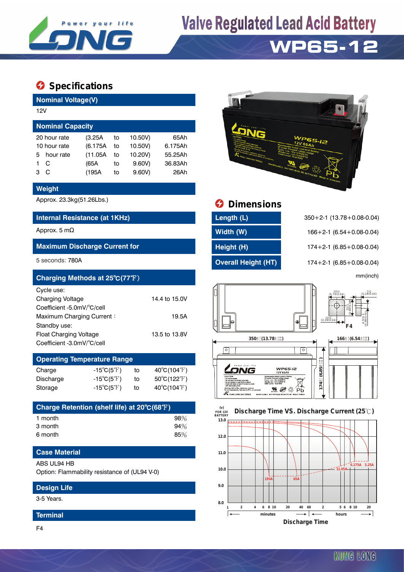

# **Valve Regulated Lead Acid Battery**

## **WP65-12**

### $\bullet$  Specifications

**Nominal Voltage(V)**

| 12V                     |              |          |    |         |         |  |  |  |  |
|-------------------------|--------------|----------|----|---------|---------|--|--|--|--|
| <b>Nominal Capacity</b> |              |          |    |         |         |  |  |  |  |
|                         | 20 hour rate | (3.25A   | to | 10.50V) | 65 A h  |  |  |  |  |
| 10 hour rate            |              | (6.175A) | to | 10.50V) | 6.175Ah |  |  |  |  |
| 5.                      | hour rate    | (11.05A) | to | 10.20V) | 55.25Ah |  |  |  |  |
|                         | C            | (65A     | to | 9.60V   | 36.83Ah |  |  |  |  |
| з                       | C            | (195A    | to | 9.60V   | 26Ah    |  |  |  |  |
|                         |              |          |    |         |         |  |  |  |  |

#### **Weight**

#### **Internal Resistance (at 1KHz) Length (L)** 350+2-1 (13.78+0.08-0.04)

#### **Maximum Discharge Current for <b>Height (H) Height (H)** 174+2-1 (6.85+0.08-0.04)

| Charging Methods at 25°C(77°F) |               |                                                     |          | mm(inch)                                        |
|--------------------------------|---------------|-----------------------------------------------------|----------|-------------------------------------------------|
| Cycle use:                     |               |                                                     | ⊮<br>الل | $20±1$<br>(0.79±0.04)<br>$7\pm1$<br>(0.28±0.04) |
| <b>Charging Voltage</b>        | 14.4 to 15.0V |                                                     |          |                                                 |
| Coefficient -5.0mV/°C/cell     |               |                                                     |          | $rac{11}{25}$                                   |
| Maximum Charging Current:      | 19.5A         |                                                     |          | $\frac{10\pm1}{(0.39\pm0.04)}$                  |
| Standby use:                   |               |                                                     |          | $6.5 + 0.00000$<br>F4                           |
| <b>Float Charging Voltage</b>  | 13.5 to 13.8V |                                                     |          |                                                 |
| Coefficient -3.0mV/°C/cell     |               | $350\pm\frac{2}{1}$ (13.78 $\pm\frac{0.08}{0.04}$ ) |          | $166\pm\frac{2}{1}(6.54\pm\frac{0.08}{0.04})$   |

### **Operating Temperature Range**

| Charge    | -15 $^{\circ}$ C(5 $^{\circ}$ F) | to | $40^{\circ}$ C(104 $^{\circ}$ F) |
|-----------|----------------------------------|----|----------------------------------|
| Discharge | $-15^{\circ}C(5^{\circ}F)$       | to | $50^{\circ}$ C(122 $^{\circ}$ F) |
| Storage   | $-15^{\circ}C(5^{\circ}F)$       | to | $40^{\circ}$ C(104 $^{\circ}$ F) |

| Charge Retention (shelf life) at 20°C(68°F) |     |
|---------------------------------------------|-----|
| 1 month                                     | 98% |
| 3 month                                     | 94% |
| 6 month                                     | 85% |

#### **Case Material**

#### ABS UL94 HB

Option: Flammability resistance of (UL94 V-0)

#### **Design Life**

3-5 Years.

#### **Terminal**



## Approx. 23.3kg(51.26Lbs.) **Dimensions**

| Length (L)                 |
|----------------------------|
| Width (W)                  |
| Height (H)                 |
| <b>Overall Height (HT)</b> |

Approx. 5 mΩ **Midth (W)** 166+2-1 (6.54+0.08-0.04) 5 seconds: 780A **Overall Height (HT)** 174+2-1 (6.85+0.08-0.04)